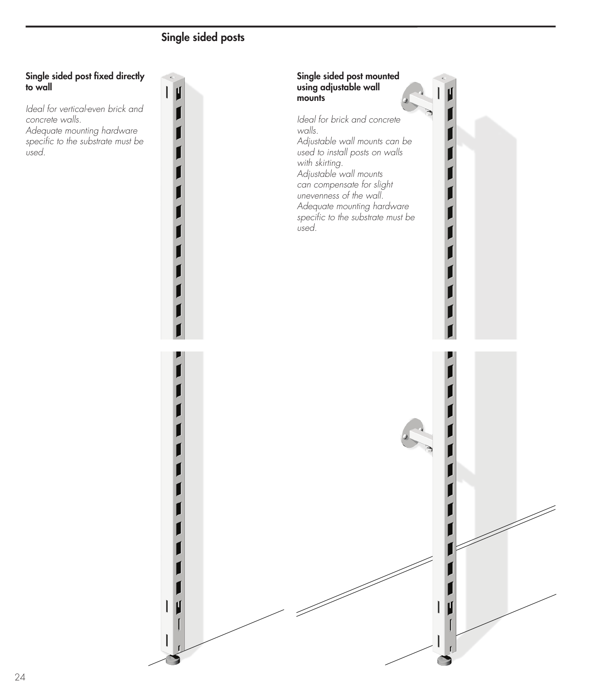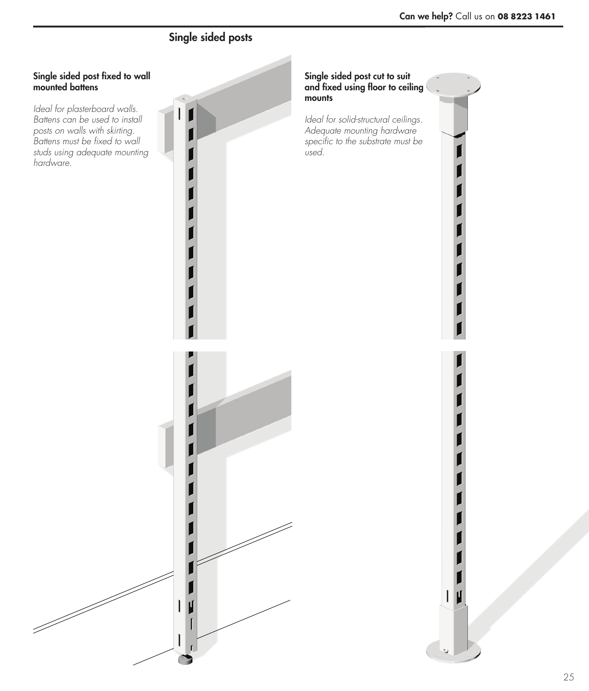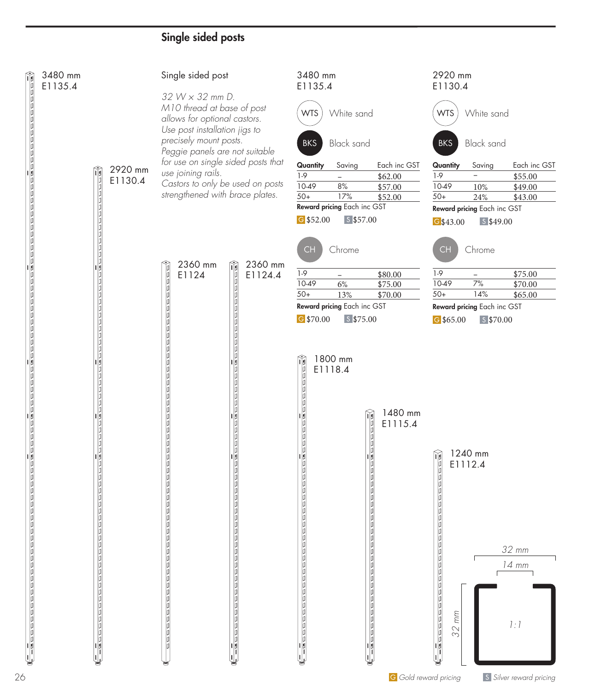| 3480 mm<br>E1135.4 |                              | Single sided post                                                                                                               | 3480 mm<br>E1135.4                                                                                              | 2920 mm<br>E1130.4                                                                                                                       |
|--------------------|------------------------------|---------------------------------------------------------------------------------------------------------------------------------|-----------------------------------------------------------------------------------------------------------------|------------------------------------------------------------------------------------------------------------------------------------------|
|                    |                              | 32 W × 32 mm D.<br>M10 thread at base of post<br>allows for optional castors.<br>Use post installation jigs to                  | White sand<br><b>WTS</b>                                                                                        | White sand<br><b>WTS</b>                                                                                                                 |
|                    |                              | precisely mount posts.<br>Peggie panels are not suitable                                                                        | <b>Black sand</b><br><b>BKS</b>                                                                                 | <b>Black sand</b><br><b>BKS</b>                                                                                                          |
|                    | 2920 mm<br>M<br>E1130.4<br>μ | for use on single sided posts that<br>use joining rails.<br>Castors to only be used on posts<br>strengthened with brace plates. | Each inc GST<br>Quantity<br>Saving<br>$1-9$<br>\$62.00<br>$10-49$<br>$8%$<br>\$57.00<br>$50+$<br>17%<br>\$52.00 | Each inc GST<br>Quantity<br>Saving<br>$\overline{\phantom{0}}$<br>$1-9$<br>\$55.00<br>10-49<br>\$49.00<br>10%<br>$50+$<br>24%<br>\$43.00 |
|                    |                              |                                                                                                                                 | Reward pricing Each inc GST<br>G \$52.00<br>$S$ \$57.00                                                         | Reward pricing Each inc GST<br>$S$ \$49.00<br>G\$43.00                                                                                   |
|                    |                              | 2360 mm<br>2360 mm<br>ĥ                                                                                                         | Chrome<br>CH                                                                                                    | Chrome<br><b>CH</b>                                                                                                                      |
|                    | ١ø                           | ロロロ<br>E1124<br>E1124.4<br>Id<br>þ                                                                                              | $1-9$<br>\$80.00<br>$\overline{\phantom{a}}$<br>10-49<br>$6\%$<br>\$75.00<br>$50+$<br>\$70.00<br>13%            | $1-9$<br>\$75.00<br><sup>-</sup><br>$7%$<br>10-49<br>\$70.00<br>14%<br>$50+$<br>\$65.00                                                  |
|                    |                              | Id<br>١ø<br>Id<br>$\frac{1}{\beta}$<br>١ø                                                                                       | Reward pricing Each inc GST<br>G \$70.00<br>$S$ \$75.00                                                         | Reward pricing Each inc GST<br>$G$ \$65.00<br>$S$ \$70.00                                                                                |
|                    | ١U                           | Id<br>þ<br>Ia<br>۱۵<br>Ia<br>۱۵                                                                                                 | 1800 mm<br>E1118.4                                                                                              |                                                                                                                                          |
|                    |                              | ١ø<br>١ø<br>Id<br>١ø<br>١a                                                                                                      | <b>Completed Formand Formand</b><br>1480 mm                                                                     |                                                                                                                                          |
|                    |                              | Id<br>Id<br>Id<br>Id<br>IO<br>Ia                                                                                                | E1115.4                                                                                                         |                                                                                                                                          |
|                    | ١U                           | i<br>D                                                                                                                          | ロロロ                                                                                                             | 1240 mm<br>E1112.4                                                                                                                       |
|                    |                              | j<br>D                                                                                                                          |                                                                                                                 |                                                                                                                                          |
|                    |                              |                                                                                                                                 |                                                                                                                 | 32 mm                                                                                                                                    |
|                    |                              |                                                                                                                                 |                                                                                                                 | 14 mm                                                                                                                                    |
|                    |                              |                                                                                                                                 |                                                                                                                 | mm                                                                                                                                       |
|                    |                              |                                                                                                                                 | $\sqrt{2}$                                                                                                      | 1:1<br>32<br>۱ø<br>Ш                                                                                                                     |
|                    |                              |                                                                                                                                 |                                                                                                                 | <b>G</b> Gold reward pricing<br>S Silver reward pricing                                                                                  |

IJ